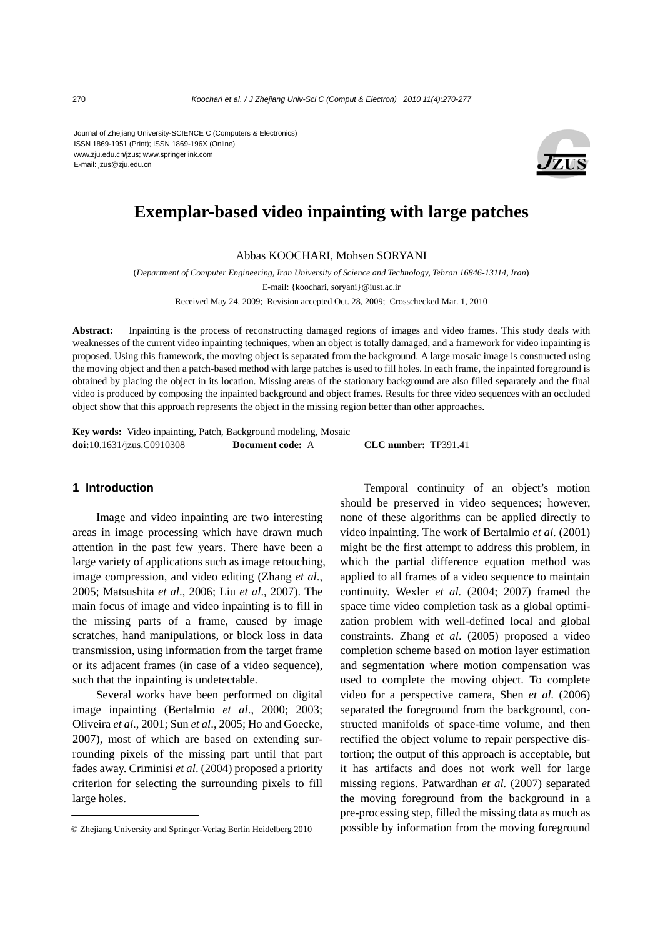Journal of Zhejiang University-SCIENCE C (Computers & Electronics) ISSN 1869-1951 (Print); ISSN 1869-196X (Online) www.zju.edu.cn/jzus; www.springerlink.com E-mail: jzus@zju.edu.cn



# **Exemplar-based video inpainting with large patches**

Abbas KOOCHARI, Mohsen SORYANI

(*Department of Computer Engineering, Iran University of Science and Technology, Tehran 16846-13114, Iran*)

E-mail: {koochari, soryani}@iust.ac.ir

Received May 24, 2009; Revision accepted Oct. 28, 2009; Crosschecked Mar. 1, 2010

**Abstract:** Inpainting is the process of reconstructing damaged regions of images and video frames. This study deals with weaknesses of the current video inpainting techniques, when an object is totally damaged, and a framework for video inpainting is proposed. Using this framework, the moving object is separated from the background. A large mosaic image is constructed using the moving object and then a patch-based method with large patches is used to fill holes. In each frame, the inpainted foreground is obtained by placing the object in its location. Missing areas of the stationary background are also filled separately and the final video is produced by composing the inpainted background and object frames. Results for three video sequences with an occluded object show that this approach represents the object in the missing region better than other approaches.

**Key words:** Video inpainting, Patch, Background modeling, Mosaic **doi:**10.1631/jzus.C0910308 **Document code:** A **CLC number:** TP391.41

### **1 Introduction**

Image and video inpainting are two interesting areas in image processing which have drawn much attention in the past few years. There have been a large variety of applications such as image retouching, image compression, and video editing (Zhang *et al*., 2005; Matsushita *et al*., 2006; Liu *et al*., 2007). The main focus of image and video inpainting is to fill in the missing parts of a frame, caused by image scratches, hand manipulations, or block loss in data transmission, using information from the target frame or its adjacent frames (in case of a video sequence), such that the inpainting is undetectable.

Several works have been performed on digital image inpainting (Bertalmio *et al*., 2000; 2003; Oliveira *et al*., 2001; Sun *et al*., 2005; Ho and Goecke, 2007), most of which are based on extending surrounding pixels of the missing part until that part fades away. Criminisi *et al*. (2004) proposed a priority criterion for selecting the surrounding pixels to fill large holes.

Temporal continuity of an object's motion should be preserved in video sequences; however, none of these algorithms can be applied directly to video inpainting. The work of Bertalmio *et al*. (2001) might be the first attempt to address this problem, in which the partial difference equation method was applied to all frames of a video sequence to maintain continuity. Wexler *et al.* (2004; 2007) framed the space time video completion task as a global optimization problem with well-defined local and global constraints. Zhang *et al*. (2005) proposed a video completion scheme based on motion layer estimation and segmentation where motion compensation was used to complete the moving object. To complete video for a perspective camera, Shen *et al.* (2006) separated the foreground from the background, constructed manifolds of space-time volume, and then rectified the object volume to repair perspective distortion; the output of this approach is acceptable, but it has artifacts and does not work well for large missing regions. Patwardhan *et al.* (2007) separated the moving foreground from the background in a pre-processing step, filled the missing data as much as © Zhejiang University and Springer-Verlag Berlin Heidelberg 2010 possible by information from the moving foreground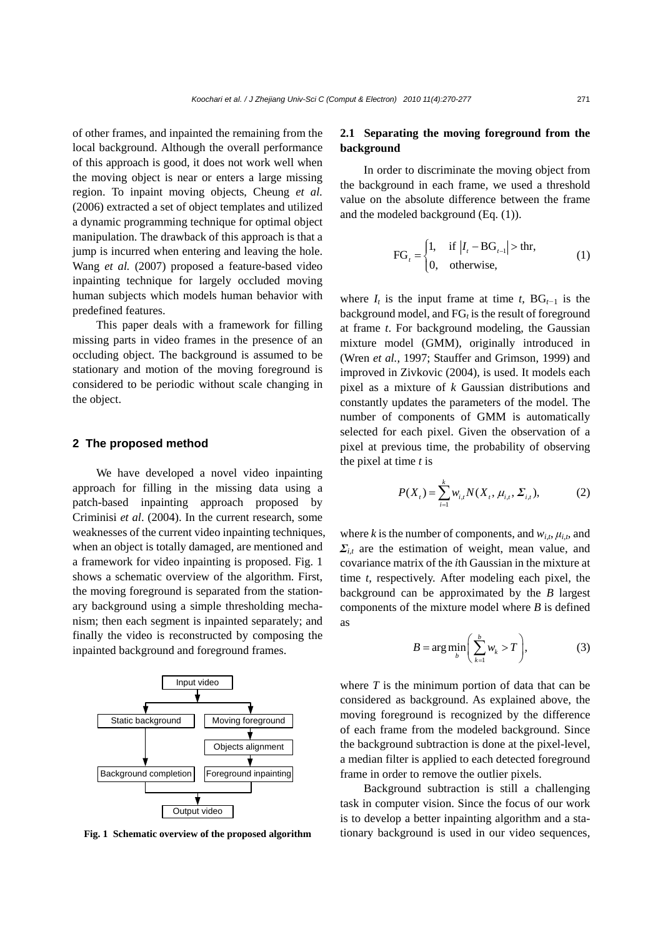of other frames, and inpainted the remaining from the local background. Although the overall performance of this approach is good, it does not work well when the moving object is near or enters a large missing region. To inpaint moving objects, Cheung *et al.*  (2006) extracted a set of object templates and utilized a dynamic programming technique for optimal object manipulation. The drawback of this approach is that a jump is incurred when entering and leaving the hole. Wang *et al.* (2007) proposed a feature-based video inpainting technique for largely occluded moving human subjects which models human behavior with predefined features.

This paper deals with a framework for filling missing parts in video frames in the presence of an occluding object. The background is assumed to be stationary and motion of the moving foreground is considered to be periodic without scale changing in the object.

### **2 The proposed method**

We have developed a novel video inpainting approach for filling in the missing data using a patch-based inpainting approach proposed by Criminisi *et al*. (2004). In the current research, some weaknesses of the current video inpainting techniques, when an object is totally damaged, are mentioned and a framework for video inpainting is proposed. Fig. 1 shows a schematic overview of the algorithm. First, the moving foreground is separated from the stationary background using a simple thresholding mechanism; then each segment is inpainted separately; and finally the video is reconstructed by composing the inpainted background and foreground frames.



**Fig. 1 Schematic overview of the proposed algorithm** 

## **2.1 Separating the moving foreground from the background**

In order to discriminate the moving object from the background in each frame, we used a threshold value on the absolute difference between the frame and the modeled background (Eq. (1)).

$$
FG_{t} = \begin{cases} 1, & \text{if } |I_{t} - BG_{t-1}| > \text{thr}, \\ 0, & \text{otherwise}, \end{cases}
$$
 (1)

where  $I_t$  is the input frame at time  $t$ , BG<sub> $t-1$ </sub> is the background model, and  $FG_t$  is the result of foreground at frame *t*. For background modeling, the Gaussian mixture model (GMM), originally introduced in (Wren *et al.*, 1997; Stauffer and Grimson, 1999) and improved in Zivkovic (2004), is used. It models each pixel as a mixture of *k* Gaussian distributions and constantly updates the parameters of the model. The number of components of GMM is automatically selected for each pixel. Given the observation of a pixel at previous time, the probability of observing the pixel at time *t* is

$$
P(X_t) = \sum_{i=1}^{k} w_{i,t} N(X_t, \mu_{i,t}, \Sigma_{i,t}),
$$
 (2)

where *k* is the number of components, and  $w_{i,t}$ ,  $\mu_{i,t}$ , and  $\Sigma_{i,t}$  are the estimation of weight, mean value, and covariance matrix of the *i*th Gaussian in the mixture at time *t*, respectively. After modeling each pixel, the background can be approximated by the *B* largest components of the mixture model where *B* is defined as

$$
B = \arg\min_{b} \left( \sum_{k=1}^{b} w_k > T \right), \tag{3}
$$

where *T* is the minimum portion of data that can be considered as background. As explained above, the moving foreground is recognized by the difference of each frame from the modeled background. Since the background subtraction is done at the pixel-level, a median filter is applied to each detected foreground frame in order to remove the outlier pixels.

Background subtraction is still a challenging task in computer vision. Since the focus of our work is to develop a better inpainting algorithm and a stationary background is used in our video sequences,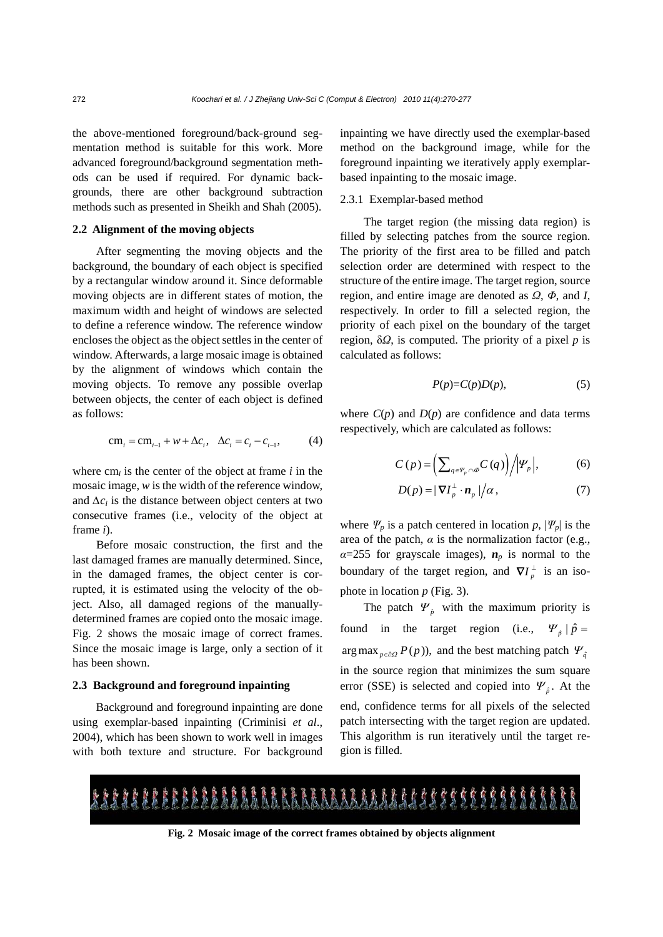the above-mentioned foreground/back-ground segmentation method is suitable for this work. More advanced foreground/background segmentation methods can be used if required. For dynamic backgrounds, there are other background subtraction methods such as presented in Sheikh and Shah (2005).

## **2.2 Alignment of the moving objects**

After segmenting the moving objects and the background, the boundary of each object is specified by a rectangular window around it. Since deformable moving objects are in different states of motion, the maximum width and height of windows are selected to define a reference window. The reference window encloses the object as the object settles in the center of window. Afterwards, a large mosaic image is obtained by the alignment of windows which contain the moving objects. To remove any possible overlap between objects, the center of each object is defined as follows:

$$
cm_i = cm_{i-1} + w + \Delta c_i, \quad \Delta c_i = c_i - c_{i-1}, \tag{4}
$$

where cm*i* is the center of the object at frame *i* in the mosaic image, *w* is the width of the reference window, and  $\Delta c_i$  is the distance between object centers at two consecutive frames (i.e., velocity of the object at frame *i*).

Before mosaic construction, the first and the last damaged frames are manually determined. Since, in the damaged frames, the object center is corrupted, it is estimated using the velocity of the object. Also, all damaged regions of the manuallydetermined frames are copied onto the mosaic image. Fig. 2 shows the mosaic image of correct frames. Since the mosaic image is large, only a section of it has been shown.

#### **2.3 Background and foreground inpainting**

Background and foreground inpainting are done using exemplar-based inpainting (Criminisi *et al*., 2004), which has been shown to work well in images with both texture and structure. For background inpainting we have directly used the exemplar-based method on the background image, while for the foreground inpainting we iteratively apply exemplarbased inpainting to the mosaic image.

## 2.3.1 Exemplar-based method

The target region (the missing data region) is filled by selecting patches from the source region. The priority of the first area to be filled and patch selection order are determined with respect to the structure of the entire image. The target region, source region, and entire image are denoted as *Ω*, *Φ*, and *I*, respectively. In order to fill a selected region, the priority of each pixel on the boundary of the target region, δ*Ω*, is computed. The priority of a pixel *p* is calculated as follows:

$$
P(p)=C(p)D(p),\tag{5}
$$

where  $C(p)$  and  $D(p)$  are confidence and data terms respectively, which are calculated as follows:

$$
C(p) = \left(\sum_{q \in \Psi_p \cap \Phi} C(q)\right) / \left|\Psi_p\right|, \tag{6}
$$

$$
D(p) = |\nabla I_p^{\perp} \cdot \mathbf{n}_p|/\alpha, \qquad (7)
$$

where  $\Psi_p$  is a patch centered in location  $p$ ,  $|\Psi_p|$  is the area of the patch,  $\alpha$  is the normalization factor (e.g.,  $\alpha$ =255 for grayscale images),  $n_p$  is normal to the boundary of the target region, and  $\nabla I_p^{\perp}$  is an isophote in location *p* (Fig. 3).

The patch  $\Psi_{\hat{p}}$  with the maximum priority is found in the target region (i.e.,  $\Psi_{\hat{p}} | \hat{p} =$ arg max  $_{p \in \partial \Omega} P(p)$ , and the best matching patch  $\Psi_{\hat{q}}$ in the source region that minimizes the sum square error (SSE) is selected and copied into  $\Psi_{\hat{p}}$ . At the end, confidence terms for all pixels of the selected patch intersecting with the target region are updated. This algorithm is run iteratively until the target region is filled.



**Fig. 2 Mosaic image of the correct frames obtained by objects alignment**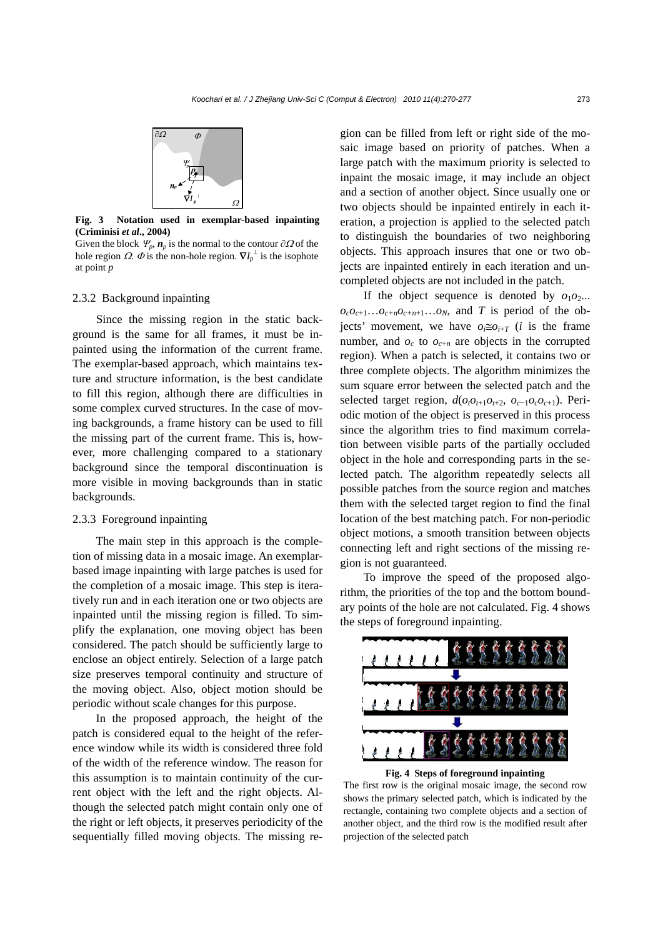

**Fig. 3 Notation used in exemplar-based inpainting (Criminisi** *et al***., 2004)** 

Given the block  $\Psi_p$ ,  $\mathbf{n}_p$  is the normal to the contour  $\partial\Omega$  of the hole region  $\Omega$ .  $\Phi$  is the non-hole region.  $\nabla I_p^{\perp}$  is the isophote at point *p*

#### 2.3.2 Background inpainting

Since the missing region in the static background is the same for all frames, it must be inpainted using the information of the current frame. The exemplar-based approach, which maintains texture and structure information, is the best candidate to fill this region, although there are difficulties in some complex curved structures. In the case of moving backgrounds, a frame history can be used to fill the missing part of the current frame. This is, however, more challenging compared to a stationary background since the temporal discontinuation is more visible in moving backgrounds than in static backgrounds.

## 2.3.3 Foreground inpainting

The main step in this approach is the completion of missing data in a mosaic image. An exemplarbased image inpainting with large patches is used for the completion of a mosaic image. This step is iteratively run and in each iteration one or two objects are inpainted until the missing region is filled. To simplify the explanation, one moving object has been considered. The patch should be sufficiently large to enclose an object entirely. Selection of a large patch size preserves temporal continuity and structure of the moving object. Also, object motion should be periodic without scale changes for this purpose.

In the proposed approach, the height of the patch is considered equal to the height of the reference window while its width is considered three fold of the width of the reference window. The reason for this assumption is to maintain continuity of the current object with the left and the right objects. Although the selected patch might contain only one of the right or left objects, it preserves periodicity of the sequentially filled moving objects. The missing region can be filled from left or right side of the mosaic image based on priority of patches. When a large patch with the maximum priority is selected to inpaint the mosaic image, it may include an object and a section of another object. Since usually one or two objects should be inpainted entirely in each iteration, a projection is applied to the selected patch to distinguish the boundaries of two neighboring objects. This approach insures that one or two objects are inpainted entirely in each iteration and uncompleted objects are not included in the patch.

If the object sequence is denoted by  $o_1o_2...$  $o_{c}o_{c+1}...o_{c+n}o_{c+n+1}...o_{N}$ , and *T* is period of the objects' movement, we have  $o_i \equiv o_{i+T}$  (*i* is the frame number, and  $o_c$  to  $o_{c+n}$  are objects in the corrupted region). When a patch is selected, it contains two or three complete objects. The algorithm minimizes the sum square error between the selected patch and the selected target region,  $d(o_t o_{t+1} o_{t+2}, o_{c-1} o_c o_{c+1})$ . Periodic motion of the object is preserved in this process since the algorithm tries to find maximum correlation between visible parts of the partially occluded object in the hole and corresponding parts in the selected patch. The algorithm repeatedly selects all possible patches from the source region and matches them with the selected target region to find the final location of the best matching patch. For non-periodic object motions, a smooth transition between objects connecting left and right sections of the missing region is not guaranteed.

To improve the speed of the proposed algorithm, the priorities of the top and the bottom boundary points of the hole are not calculated. Fig. 4 shows the steps of foreground inpainting.





The first row is the original mosaic image, the second row shows the primary selected patch, which is indicated by the rectangle, containing two complete objects and a section of another object, and the third row is the modified result after projection of the selected patch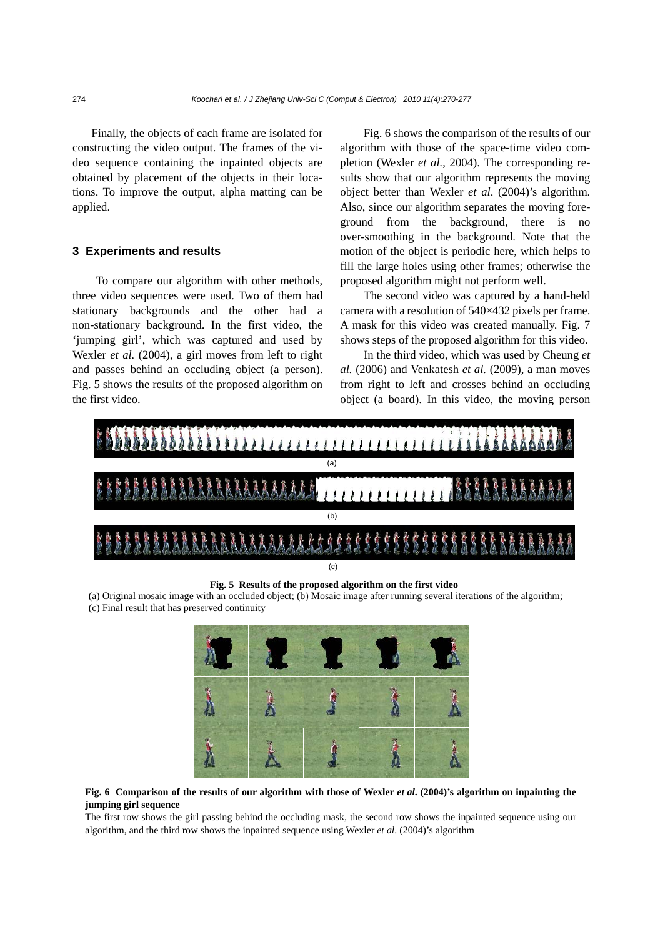Finally, the objects of each frame are isolated for constructing the video output. The frames of the video sequence containing the inpainted objects are obtained by placement of the objects in their locations. To improve the output, alpha matting can be applied.

### **3 Experiments and results**

To compare our algorithm with other methods, three video sequences were used. Two of them had stationary backgrounds and the other had a non-stationary background. In the first video, the 'jumping girl', which was captured and used by Wexler *et al.* (2004), a girl moves from left to right and passes behind an occluding object (a person). Fig. 5 shows the results of the proposed algorithm on the first video.

Fig. 6 shows the comparison of the results of our algorithm with those of the space-time video completion (Wexler *et al.*, 2004). The corresponding results show that our algorithm represents the moving object better than Wexler *et al*. (2004)'s algorithm. Also, since our algorithm separates the moving foreground from the background, there is no over-smoothing in the background. Note that the motion of the object is periodic here, which helps to fill the large holes using other frames; otherwise the proposed algorithm might not perform well.

The second video was captured by a hand-held camera with a resolution of 540×432 pixels per frame. A mask for this video was created manually. Fig. 7 shows steps of the proposed algorithm for this video.

In the third video, which was used by Cheung *et al.* (2006) and Venkatesh *et al.* (2009), a man moves from right to left and crosses behind an occluding object (a board). In this video, the moving person



**Fig. 5 Results of the proposed algorithm on the first video** 

(a) Original mosaic image with an occluded object; (b) Mosaic image after running several iterations of the algorithm; (c) Final result that has preserved continuity



**Fig. 6 Comparison of the results of our algorithm with those of Wexler** *et al***. (2004)'s algorithm on inpainting the jumping girl sequence** 

The first row shows the girl passing behind the occluding mask, the second row shows the inpainted sequence using our algorithm, and the third row shows the inpainted sequence using Wexler *et al*. (2004)'s algorithm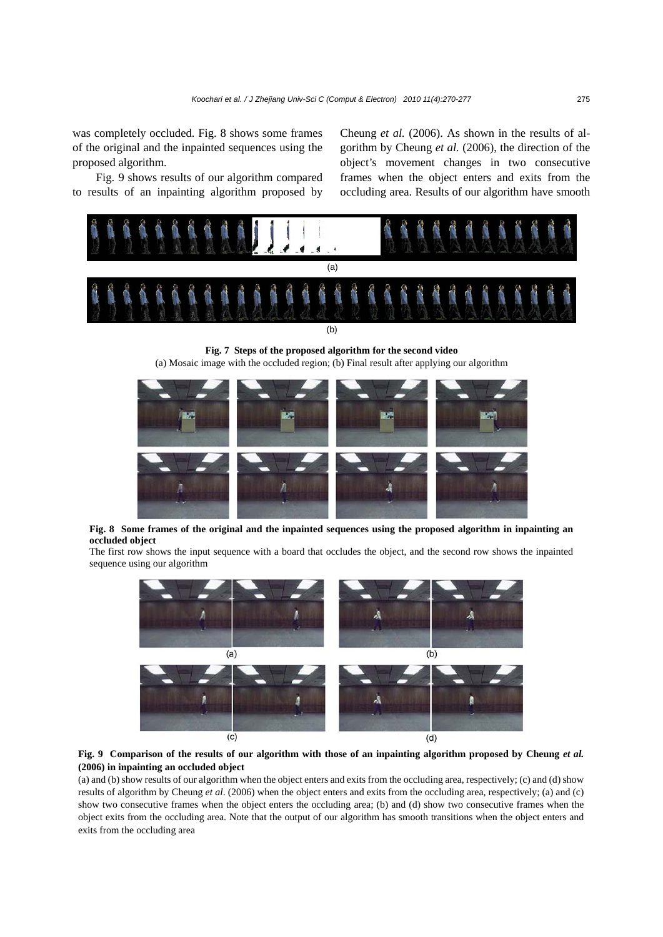was completely occluded. Fig. 8 shows some frames of the original and the inpainted sequences using the proposed algorithm.

Fig. 9 shows results of our algorithm compared to results of an inpainting algorithm proposed by Cheung *et al.* (2006). As shown in the results of algorithm by Cheung *et al.* (2006), the direction of the object's movement changes in two consecutive frames when the object enters and exits from the occluding area. Results of our algorithm have smooth



**Fig. 7 Steps of the proposed algorithm for the second video**  (a) Mosaic image with the occluded region; (b) Final result after applying our algorithm



**Fig. 8 Some frames of the original and the inpainted sequences using the proposed algorithm in inpainting an occluded object** 

The first row shows the input sequence with a board that occludes the object, and the second row shows the inpainted sequence using our algorithm



#### **Fig. 9 Comparison of the results of our algorithm with those of an inpainting algorithm proposed by Cheung** *et al.* **(2006) in inpainting an occluded object**

(a) and (b) show results of our algorithm when the object enters and exits from the occluding area, respectively; (c) and (d) show results of algorithm by Cheung *et al*. (2006) when the object enters and exits from the occluding area, respectively; (a) and (c) show two consecutive frames when the object enters the occluding area; (b) and (d) show two consecutive frames when the object exits from the occluding area. Note that the output of our algorithm has smooth transitions when the object enters and exits from the occluding area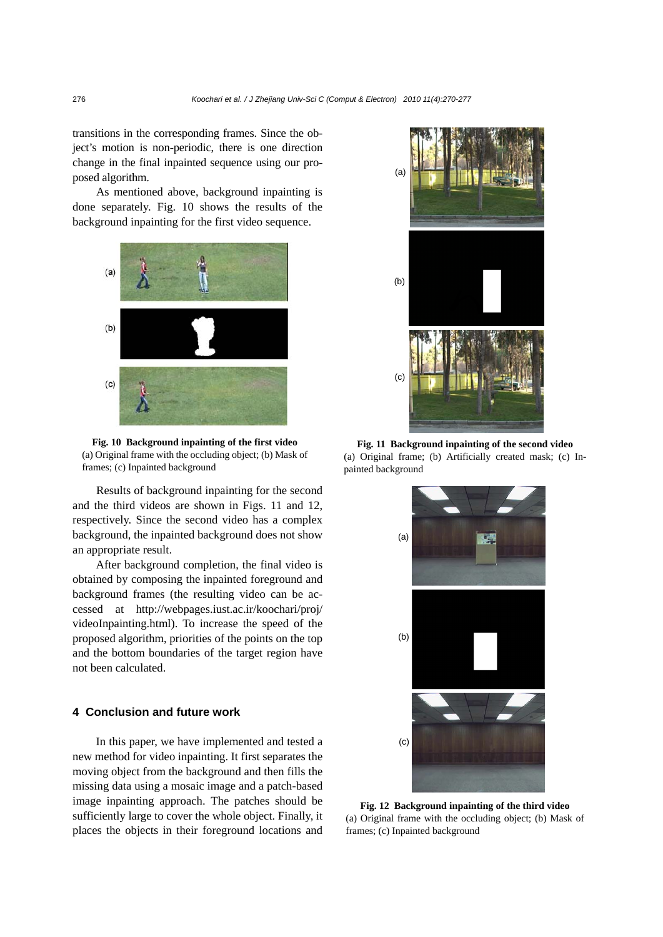transitions in the corresponding frames. Since the object's motion is non-periodic, there is one direction change in the final inpainted sequence using our proposed algorithm.

As mentioned above, background inpainting is done separately. Fig. 10 shows the results of the background inpainting for the first video sequence.



**Fig. 10 Background inpainting of the first video**  (a) Original frame with the occluding object; (b) Mask of frames; (c) Inpainted background

Results of background inpainting for the second and the third videos are shown in Figs. 11 and 12, respectively. Since the second video has a complex background, the inpainted background does not show an appropriate result.

After background completion, the final video is obtained by composing the inpainted foreground and background frames (the resulting video can be accessed at http://webpages.iust.ac.ir/koochari/proj/ videoInpainting.html). To increase the speed of the proposed algorithm, priorities of the points on the top and the bottom boundaries of the target region have not been calculated.

## **4 Conclusion and future work**

In this paper, we have implemented and tested a new method for video inpainting. It first separates the moving object from the background and then fills the missing data using a mosaic image and a patch-based image inpainting approach. The patches should be sufficiently large to cover the whole object. Finally, it places the objects in their foreground locations and



**Fig. 11 Background inpainting of the second video**  (a) Original frame; (b) Artificially created mask; (c) Inpainted background



**Fig. 12 Background inpainting of the third video**  (a) Original frame with the occluding object; (b) Mask of frames; (c) Inpainted background